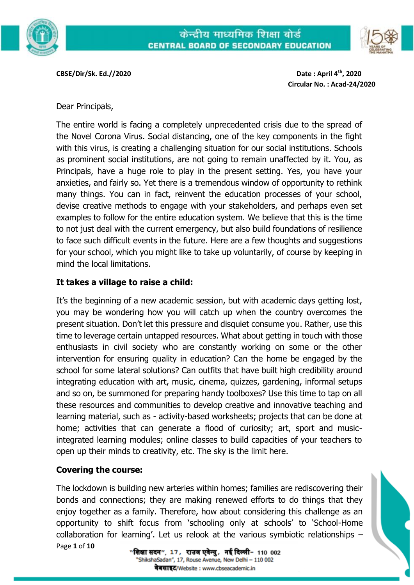

**CBSE/Dir/Sk. Ed.//2020 Date : April 4th, 2020**

**Circular No. : Acad-24/2020** 

Dear Principals,

The entire world is facing a completely unprecedented crisis due to the spread of the Novel Corona Virus. Social distancing, one of the key components in the fight with this virus, is creating a challenging situation for our social institutions. Schools as prominent social institutions, are not going to remain unaffected by it. You, as Principals, have a huge role to play in the present setting. Yes, you have your anxieties, and fairly so. Yet there is a tremendous window of opportunity to rethink many things. You can in fact, reinvent the education processes of your school, devise creative methods to engage with your stakeholders, and perhaps even set examples to follow for the entire education system. We believe that this is the time to not just deal with the current emergency, but also build foundations of resilience to face such difficult events in the future. Here are a few thoughts and suggestions for your school, which you might like to take up voluntarily, of course by keeping in mind the local limitations.

# **It takes a village to raise a child:**

It's the beginning of a new academic session, but with academic days getting lost, you may be wondering how you will catch up when the country overcomes the present situation. Don't let this pressure and disquiet consume you. Rather, use this time to leverage certain untapped resources. What about getting in touch with those enthusiasts in civil society who are constantly working on some or the other intervention for ensuring quality in education? Can the home be engaged by the school for some lateral solutions? Can outfits that have built high credibility around integrating education with art, music, cinema, quizzes, gardening, informal setups and so on, be summoned for preparing handy toolboxes? Use this time to tap on all these resources and communities to develop creative and innovative teaching and learning material, such as - activity-based worksheets; projects that can be done at home; activities that can generate a flood of curiosity; art, sport and musicintegrated learning modules; online classes to build capacities of your teachers to open up their minds to creativity, etc. The sky is the limit here.

#### **Covering the course:**

Page **1** of **10** The lockdown is building new arteries within homes; families are rediscovering their bonds and connections; they are making renewed efforts to do things that they enjoy together as a family. Therefore, how about considering this challenge as an opportunity to shift focus from 'schooling only at schools' to 'School-Home collaboration for learning'. Let us relook at the various symbiotic relationships –

"शिक्षा सदन", 17, राउज एवेन्यु, नई दिल्ली- 110 002 'ShikshaSadan", 17, Rouse Avenue, New Delhi - 110 002 वेबसाइट/Website : www.cbseacademic.in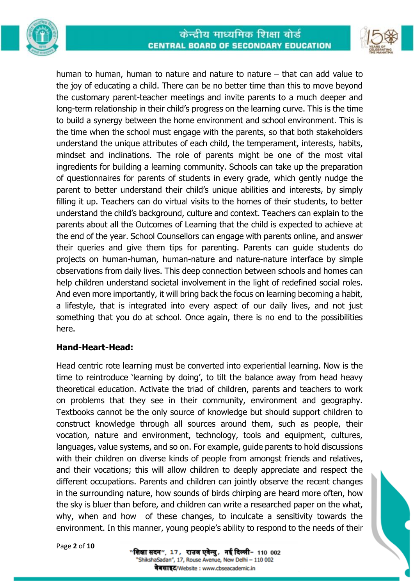





human to human, human to nature and nature to nature  $-$  that can add value to the joy of educating a child. There can be no better time than this to move beyond the customary parent‐teacher meetings and invite parents to a much deeper and long‐term relationship in their child's progress on the learning curve. This is the time to build a synergy between the home environment and school environment. This is the time when the school must engage with the parents, so that both stakeholders understand the unique attributes of each child, the temperament, interests, habits, mindset and inclinations. The role of parents might be one of the most vital ingredients for building a learning community. Schools can take up the preparation of questionnaires for parents of students in every grade, which gently nudge the parent to better understand their child's unique abilities and interests, by simply filling it up. Teachers can do virtual visits to the homes of their students, to better understand the child's background, culture and context. Teachers can explain to the parents about all the Outcomes of Learning that the child is expected to achieve at the end of the year. School Counsellors can engage with parents online, and answer their queries and give them tips for parenting. Parents can guide students do projects on human-human, human-nature and nature-nature interface by simple observations from daily lives. This deep connection between schools and homes can help children understand societal involvement in the light of redefined social roles. And even more importantly, it will bring back the focus on learning becoming a habit, a lifestyle, that is integrated into every aspect of our daily lives, and not just something that you do at school. Once again, there is no end to the possibilities here.

#### **Hand-Heart-Head:**

Head centric rote learning must be converted into experiential learning. Now is the time to reintroduce 'learning by doing', to tilt the balance away from head heavy theoretical education. Activate the triad of children, parents and teachers to work on problems that they see in their community, environment and geography. Textbooks cannot be the only source of knowledge but should support children to construct knowledge through all sources around them, such as people, their vocation, nature and environment, technology, tools and equipment, cultures, languages, value systems, and so on. For example, guide parents to hold discussions with their children on diverse kinds of people from amongst friends and relatives, and their vocations; this will allow children to deeply appreciate and respect the different occupations. Parents and children can jointly observe the recent changes in the surrounding nature, how sounds of birds chirping are heard more often, how the sky is bluer than before, and children can write a researched paper on the what, why, when and how of these changes, to inculcate a sensitivity towards the environment. In this manner, young people's ability to respond to the needs of their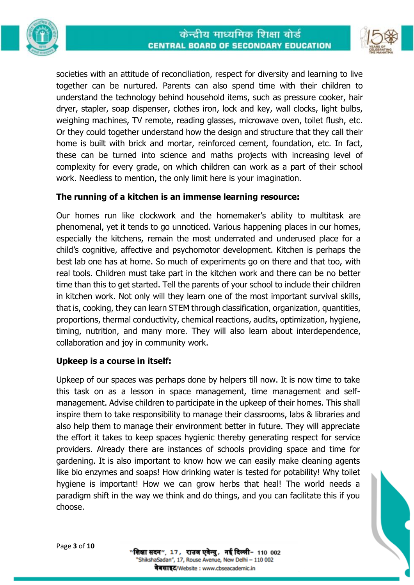



societies with an attitude of reconciliation, respect for diversity and learning to live together can be nurtured. Parents can also spend time with their children to understand the technology behind household items, such as pressure cooker, hair dryer, stapler, soap dispenser, clothes iron, lock and key, wall clocks, light bulbs, weighing machines, TV remote, reading glasses, microwave oven, toilet flush, etc. Or they could together understand how the design and structure that they call their home is built with brick and mortar, reinforced cement, foundation, etc. In fact, these can be turned into science and maths projects with increasing level of complexity for every grade, on which children can work as a part of their school work. Needless to mention, the only limit here is your imagination.

## **The running of a kitchen is an immense learning resource:**

Our homes run like clockwork and the homemaker's ability to multitask are phenomenal, yet it tends to go unnoticed. Various happening places in our homes, especially the kitchens, remain the most underrated and underused place for a child's cognitive, affective and psychomotor development. Kitchen is perhaps the best lab one has at home. So much of experiments go on there and that too, with real tools. Children must take part in the kitchen work and there can be no better time than this to get started. Tell the parents of your school to include their children in kitchen work. Not only will they learn one of the most important survival skills, that is, cooking, they can learn STEM through classification, organization, quantities, proportions, thermal conductivity, chemical reactions, audits, optimization, hygiene, timing, nutrition, and many more. They will also learn about interdependence, collaboration and joy in community work.

#### **Upkeep is a course in itself:**

Upkeep of our spaces was perhaps done by helpers till now. It is now time to take this task on as a lesson in space management, time management and selfmanagement. Advise children to participate in the upkeep of their homes. This shall inspire them to take responsibility to manage their classrooms, labs & libraries and also help them to manage their environment better in future. They will appreciate the effort it takes to keep spaces hygienic thereby generating respect for service providers. Already there are instances of schools providing space and time for gardening. It is also important to know how we can easily make cleaning agents like bio enzymes and soaps! How drinking water is tested for potability! Why toilet hygiene is important! How we can grow herbs that heal! The world needs a paradigm shift in the way we think and do things, and you can facilitate this if you choose.



"शिक्षा सदन", 17, राउज एवेन्यु, नई दिल्ली- 110 002 'ShikshaSadan", 17, Rouse Avenue, New Delhi - 110 002 वेबसाइट/Website : www.cbseacademic.in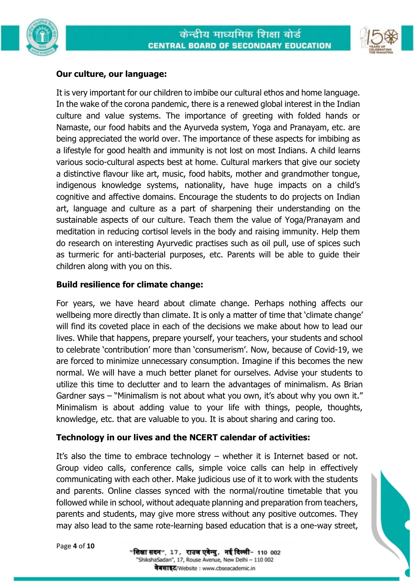



### **Our culture, our language:**

It is very important for our children to imbibe our cultural ethos and home language. In the wake of the corona pandemic, there is a renewed global interest in the Indian culture and value systems. The importance of greeting with folded hands or Namaste, our food habits and the Ayurveda system, Yoga and Pranayam, etc. are being appreciated the world over. The importance of these aspects for imbibing as a lifestyle for good health and immunity is not lost on most Indians. A child learns various socio-cultural aspects best at home. Cultural markers that give our society a distinctive flavour like art, music, food habits, mother and grandmother tongue, indigenous knowledge systems, nationality, have huge impacts on a child's cognitive and affective domains. Encourage the students to do projects on Indian art, language and culture as a part of sharpening their understanding on the sustainable aspects of our culture. Teach them the value of Yoga/Pranayam and meditation in reducing cortisol levels in the body and raising immunity. Help them do research on interesting Ayurvedic practises such as oil pull, use of spices such as turmeric for anti-bacterial purposes, etc. Parents will be able to guide their children along with you on this.

## **Build resilience for climate change:**

For years, we have heard about climate change. Perhaps nothing affects our wellbeing more directly than climate. It is only a matter of time that 'climate change' will find its coveted place in each of the decisions we make about how to lead our lives. While that happens, prepare yourself, your teachers, your students and school to celebrate 'contribution' more than 'consumerism'. Now, because of Covid‐19, we are forced to minimize unnecessary consumption. Imagine if this becomes the new normal. We will have a much better planet for ourselves. Advise your students to utilize this time to declutter and to learn the advantages of minimalism. As Brian Gardner says – "Minimalism is not about what you own, it's about why you own it." Minimalism is about adding value to your life with things, people, thoughts, knowledge, etc. that are valuable to you. It is about sharing and caring too.

#### **Technology in our lives and the NCERT calendar of activities:**

It's also the time to embrace technology – whether it is Internet based or not. Group video calls, conference calls, simple voice calls can help in effectively communicating with each other. Make judicious use of it to work with the students and parents. Online classes synced with the normal/routine timetable that you followed while in school, without adequate planning and preparation from teachers, parents and students, may give more stress without any positive outcomes. They may also lead to the same rote-learning based education that is a one-way street,

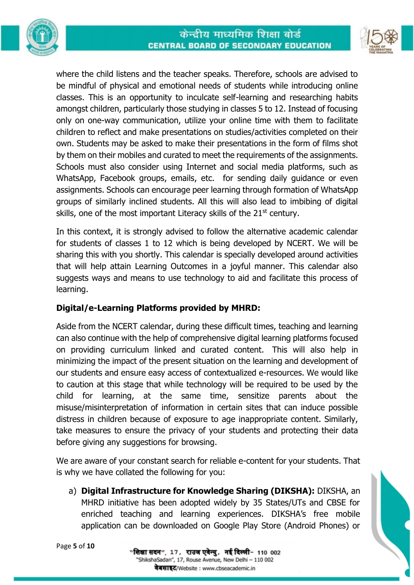



where the child listens and the teacher speaks. Therefore, schools are advised to be mindful of physical and emotional needs of students while introducing online classes. This is an opportunity to inculcate self-learning and researching habits amongst children, particularly those studying in classes 5 to 12. Instead of focusing only on one-way communication, utilize your online time with them to facilitate children to reflect and make presentations on studies/activities completed on their own. Students may be asked to make their presentations in the form of films shot by them on their mobiles and curated to meet the requirements of the assignments. Schools must also consider using Internet and social media platforms, such as WhatsApp, Facebook groups, emails, etc. for sending daily guidance or even assignments. Schools can encourage peer learning through formation of WhatsApp groups of similarly inclined students. All this will also lead to imbibing of digital skills, one of the most important Literacy skills of the  $21<sup>st</sup>$  century.

In this context, it is strongly advised to follow the alternative academic calendar for students of classes 1 to 12 which is being developed by NCERT. We will be sharing this with you shortly. This calendar is specially developed around activities that will help attain Learning Outcomes in a joyful manner. This calendar also suggests ways and means to use technology to aid and facilitate this process of learning.

# **Digital/e-Learning Platforms provided by MHRD:**

Aside from the NCERT calendar, during these difficult times, teaching and learning can also continue with the help of comprehensive digital learning platforms focused on providing curriculum linked and curated content. This will also help in minimizing the impact of the present situation on the learning and development of our students and ensure easy access of contextualized e-resources. We would like to caution at this stage that while technology will be required to be used by the child for learning, at the same time, sensitize parents about the misuse/misinterpretation of information in certain sites that can induce possible distress in children because of exposure to age inappropriate content. Similarly, take measures to ensure the privacy of your students and protecting their data before giving any suggestions for browsing.

We are aware of your constant search for reliable e-content for your students. That is why we have collated the following for you:

a) **Digital Infrastructure for Knowledge Sharing (DIKSHA):** DIKSHA, an MHRD initiative has been adopted widely by 35 States/UTs and CBSE for enriched teaching and learning experiences. DIKSHA's free mobile application can be downloaded on Google Play Store (Android Phones) or

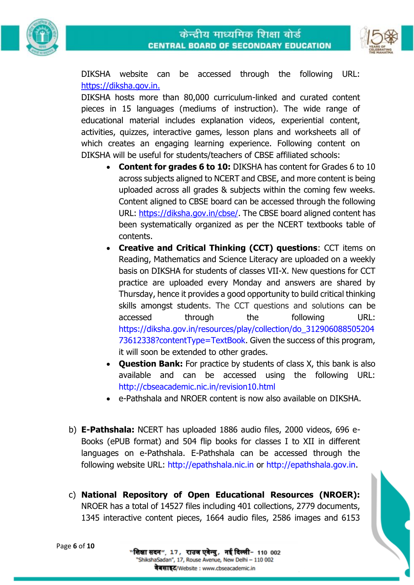



DIKSHA website can be accessed through the following URL: https://diksha.gov.in.

DIKSHA hosts more than 80,000 curriculum-linked and curated content pieces in 15 languages (mediums of instruction). The wide range of educational material includes explanation videos, experiential content, activities, quizzes, interactive games, lesson plans and worksheets all of which creates an engaging learning experience. Following content on DIKSHA will be useful for students/teachers of CBSE affiliated schools:

- **Content for grades 6 to 10:** DIKSHA has content for Grades 6 to 10 across subjects aligned to NCERT and CBSE, and more content is being uploaded across all grades & subjects within the coming few weeks. Content aligned to CBSE board can be accessed through the following URL: https://diksha.gov.in/cbse/. The CBSE board aligned content has been systematically organized as per the NCERT textbooks table of contents.
- **Creative and Critical Thinking (CCT) questions**: CCT items on Reading, Mathematics and Science Literacy are uploaded on a weekly basis on DIKSHA for students of classes VII-X. New questions for CCT practice are uploaded every Monday and answers are shared by Thursday, hence it provides a good opportunity to build critical thinking skills amongst students. The CCT questions and solutions can be accessed through the following URL: https://diksha.gov.in/resources/play/collection/do\_312906088505204 73612338?contentType=TextBook. Given the success of this program, it will soon be extended to other grades.
- **Question Bank:** For practice by students of class X, this bank is also available and can be accessed using the following URL: http://cbseacademic.nic.in/revision10.html
- e-Pathshala and NROER content is now also available on DIKSHA.
- b) **E-Pathshala:** NCERT has uploaded 1886 audio files, 2000 videos, 696 e-Books (ePUB format) and 504 flip books for classes I to XII in different languages on e-Pathshala. E-Pathshala can be accessed through the following website URL: http://epathshala.nic.in or http://epathshala.gov.in.
- c) **National Repository of Open Educational Resources (NROER):**  NROER has a total of 14527 files including 401 collections, 2779 documents, 1345 interactive content pieces, 1664 audio files, 2586 images and 6153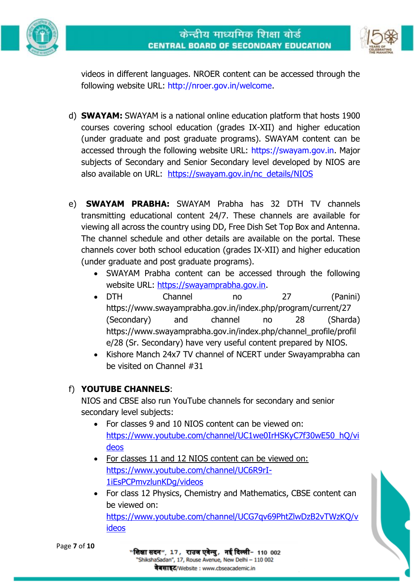



videos in different languages. NROER content can be accessed through the following website URL: http://nroer.gov.in/welcome.

- d) **SWAYAM:** SWAYAM is a national online education platform that hosts 1900 courses covering school education (grades IX-XII) and higher education (under graduate and post graduate programs). SWAYAM content can be accessed through the following website URL: https://swayam.gov.in. Major subjects of Secondary and Senior Secondary level developed by NIOS are also available on URL: https://swayam.gov.in/nc\_details/NIOS
- e) **SWAYAM PRABHA:** SWAYAM Prabha has 32 DTH TV channels transmitting educational content 24/7. These channels are available for viewing all across the country using DD, Free Dish Set Top Box and Antenna. The channel schedule and other details are available on the portal. These channels cover both school education (grades IX-XII) and higher education (under graduate and post graduate programs).
	- SWAYAM Prabha content can be accessed through the following website URL: https://swayamprabha.gov.in.
	- DTH Channel no 27 (Panini) https://www.swayamprabha.gov.in/index.php/program/current/27 (Secondary) and channel no 28 (Sharda) https://www.swayamprabha.gov.in/index.php/channel\_profile/profil e/28 (Sr. Secondary) have very useful content prepared by NIOS.
	- Kishore Manch 24x7 TV channel of NCERT under Swayamprabha can be visited on Channel #31

# f) **YOUTUBE CHANNELS**:

NIOS and CBSE also run YouTube channels for secondary and senior secondary level subjects:

- For classes 9 and 10 NIOS content can be viewed on: https://www.youtube.com/channel/UC1we0IrHSKyC7f30wE50\_hQ/vi deos
- For classes 11 and 12 NIOS content can be viewed on: https://www.youtube.com/channel/UC6R9rI-1iEsPCPmvzlunKDg/videos

"शिक्षा सदन", 17, राउज एवेन्यु, नई दिल्ली- 110 002 'ShikshaSadan", 17, Rouse Avenue, New Delhi - 110 002 वेबसाइट/Website : www.cbseacademic.in

• For class 12 Physics, Chemistry and Mathematics, CBSE content can be viewed on: https://www.youtube.com/channel/UCG7qv69PhtZlwDzB2vTWzKQ/v ideos

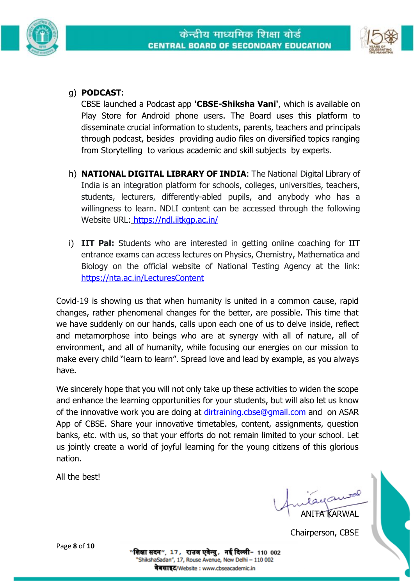



# g) **PODCAST**:

CBSE launched a Podcast app **'CBSE-Shiksha Vani'**, which is available on Play Store for Android phone users. The Board uses this platform to disseminate crucial information to students, parents, teachers and principals through podcast, besides providing audio files on diversified topics ranging from Storytelling to various academic and skill subjects by experts.

- h) **NATIONAL DIGITAL LIBRARY OF INDIA**: The National Digital Library of India is an integration platform for schools, colleges, universities, teachers, students, lecturers, differently-abled pupils, and anybody who has a willingness to learn. NDLI content can be accessed through the following Website URL: https://ndl.iitkgp.ac.in/
- i) **IIT Pal:** Students who are interested in getting online coaching for IIT entrance exams can access lectures on Physics, Chemistry, Mathematica and Biology on the official website of National Testing Agency at the link: https://nta.ac.in/LecturesContent

Covid-19 is showing us that when humanity is united in a common cause, rapid changes, rather phenomenal changes for the better, are possible. This time that we have suddenly on our hands, calls upon each one of us to delve inside, reflect and metamorphose into beings who are at synergy with all of nature, all of environment, and all of humanity, while focusing our energies on our mission to make every child "learn to learn". Spread love and lead by example, as you always have.

We sincerely hope that you will not only take up these activities to widen the scope and enhance the learning opportunities for your students, but will also let us know of the innovative work you are doing at dirtraining.cbse@gmail.com and on ASAR App of CBSE. Share your innovative timetables, content, assignments, question banks, etc. with us, so that your efforts do not remain limited to your school. Let us jointly create a world of joyful learning for the young citizens of this glorious nation.

All the best!

ANITA KARWAL

Chairperson, CBSE

Page **8** of **10**

"शिक्षा सदन", 17, राउज एवेन्यु, नई दिल्ली- 110 002 'ShikshaSadan", 17, Rouse Avenue, New Delhi - 110 002 वेबसाइट/Website : www.cbseacademic.in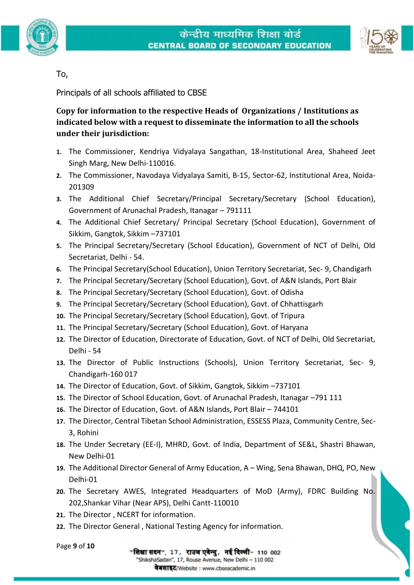





### To,

Principals of all schools affiliated to CBSE

**Copy for information to the respective Heads of Organizations / Institutions as indicated below with a request to disseminate the information to all the schools under their jurisdiction:**

- **1.** The Commissioner, Kendriya Vidyalaya Sangathan, 18-Institutional Area, Shaheed Jeet Singh Marg, New Delhi-110016.
- **2.** The Commissioner, Navodaya Vidyalaya Samiti, B-15, Sector-62, Institutional Area, Noida-201309
- **3.** The Additional Chief Secretary/Principal Secretary/Secretary (School Education), Government of Arunachal Pradesh, Itanagar – 791111
- **4.** The Additional Chief Secretary/ Principal Secretary (School Education), Government of Sikkim, Gangtok, Sikkim –737101
- **5.** The Principal Secretary/Secretary (School Education), Government of NCT of Delhi, Old Secretariat, Delhi - 54.
- **6.** The Principal Secretary(School Education), Union Territory Secretariat, Sec- 9, Chandigarh
- **7.** The Principal Secretary/Secretary (School Education), Govt. of A&N Islands, Port Blair
- **8.** The Principal Secretary/Secretary (School Education), Govt. of Odisha
- **9.** The Principal Secretary/Secretary (School Education), Govt. of Chhattisgarh
- **10.** The Principal Secretary/Secretary (School Education), Govt. of Tripura
- **11.** The Principal Secretary/Secretary (School Education), Govt. of Haryana
- **12.** The Director of Education, Directorate of Education, Govt. of NCT of Delhi, Old Secretariat, Delhi - 54
- **13.** The Director of Public Instructions (Schools), Union Territory Secretariat, Sec- 9, Chandigarh-160 017
- **14.** The Director of Education, Govt. of Sikkim, Gangtok, Sikkim –737101
- **15.** The Director of School Education, Govt. of Arunachal Pradesh, Itanagar –791 111
- **16.** The Director of Education, Govt. of A&N Islands, Port Blair 744101
- **17.** The Director, Central Tibetan School Administration, ESSESS Plaza, Community Centre, Sec-3, Rohini
- **18.** The Under Secretary (EE-I), MHRD, Govt. of India, Department of SE&L, Shastri Bhawan, New Delhi-01
- **19.** The Additional Director General of Army Education, A Wing, Sena Bhawan, DHQ, PO, New Delhi-01
- **20.** The Secretary AWES, Integrated Headquarters of MoD (Army), FDRC Building No. 202,Shankar Vihar (Near APS), Delhi Cantt-110010
- **21.** The Director , NCERT for information.
- **22.** The Director General , National Testing Agency for information.

वेबसाइट/Website : www.cbseacademic.in